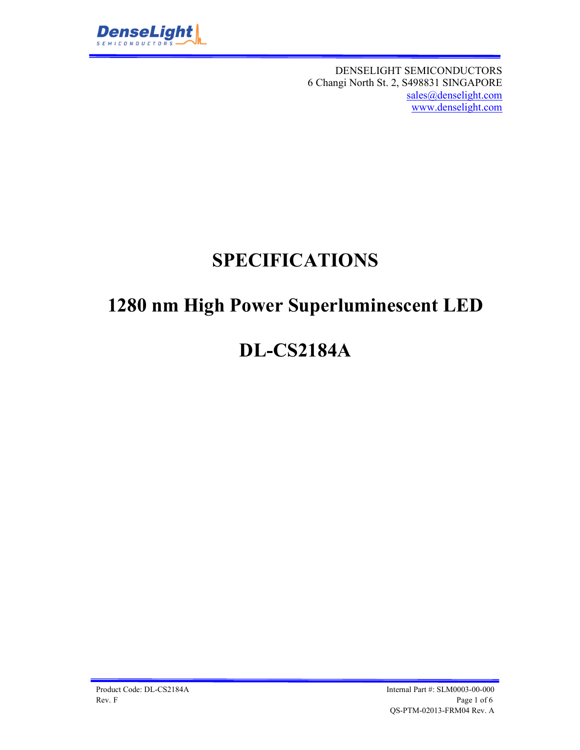

DENSELIGHT SEMICONDUCTORS 6 Changi North St. 2, S498831 SINGAPORE sales@denselight.com www.denselight.com

# **SPECIFICATIONS**

# **1280 nm High Power Superluminescent LED**

# **DL-CS2184A**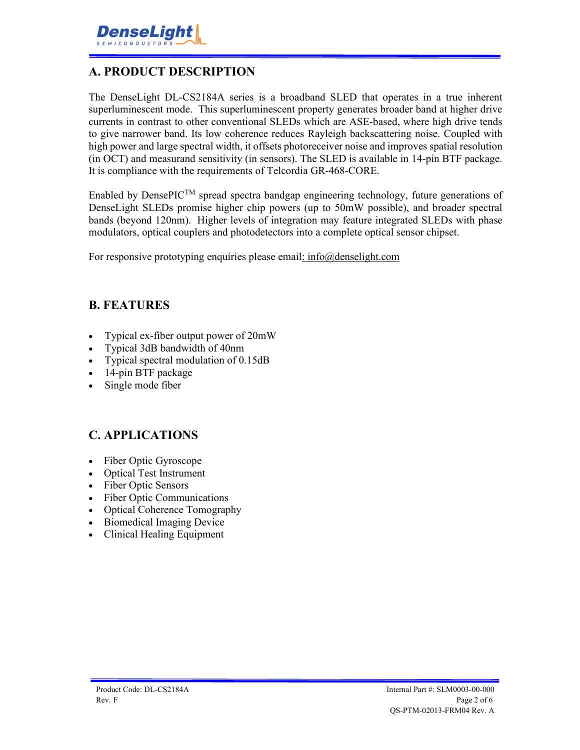## **A. PRODUCT DESCRIPTION**

The DenseLight DL-CS2184A series is a broadband SLED that operates in a true inherent superluminescent mode. This superluminescent property generates broader band at higher drive currents in contrast to other conventional SLEDs which are ASE-based, where high drive tends to give narrower band. Its low coherence reduces Rayleigh backscattering noise. Coupled with high power and large spectral width, it offsets photoreceiver noise and improves spatial resolution (in OCT) and measurand sensitivity (in sensors). The SLED is available in 14-pin BTF package. It is compliance with the requirements of Telcordia GR-468-CORE.

Enabled by DensePICTM spread spectra bandgap engineering technology, future generations of DenseLight SLEDs promise higher chip powers (up to 50mW possible), and broader spectral bands (beyond 120nm). Higher levels of integration may feature integrated SLEDs with phase modulators, optical couplers and photodetectors into a complete optical sensor chipset.

For responsive prototyping enquiries please email: info@denselight.com

### **B. FEATURES**

- Typical ex-fiber output power of 20mW
- Typical 3dB bandwidth of 40nm
- Typical spectral modulation of 0.15dB
- 14-pin BTF package
- Single mode fiber

### **C. APPLICATIONS**

- Fiber Optic Gyroscope
- Optical Test Instrument
- Fiber Optic Sensors
- Fiber Optic Communications
- Optical Coherence Tomography
- Biomedical Imaging Device
- Clinical Healing Equipment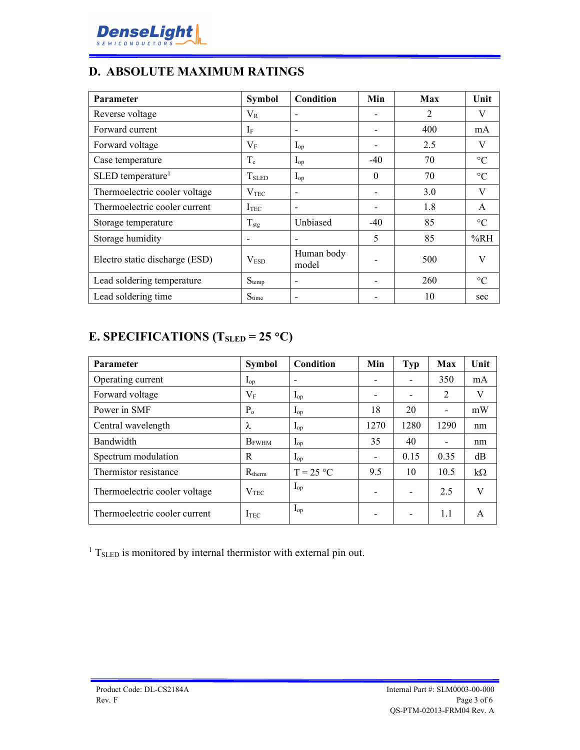

### **D. ABSOLUTE MAXIMUM RATINGS**

| <b>Parameter</b>                | <b>Symbol</b>     | Condition                | Min      | Max | Unit            |
|---------------------------------|-------------------|--------------------------|----------|-----|-----------------|
| Reverse voltage                 | $\rm V_R$         | $\overline{\phantom{a}}$ |          | 2   | V               |
| Forward current                 | If                |                          |          | 400 | mA              |
| Forward voltage                 | $\rm V_F$         | $I_{op}$                 |          | 2.5 | V               |
| Case temperature                | $\rm T_c$         | $I_{op}$                 | $-40$    | 70  | $\rm ^{\circ}C$ |
| $SLED$ temperature <sup>1</sup> | T <sub>SLED</sub> | $I_{op}$                 | $\theta$ | 70  | $\rm ^{\circ}C$ |
| Thermoelectric cooler voltage   | V <sub>TEC</sub>  |                          |          | 3.0 | V               |
| Thermoelectric cooler current   | I <sub>TEC</sub>  |                          |          | 1.8 | A               |
| Storage temperature             | $T_{\text{stg}}$  | Unbiased                 | $-40$    | 85  | $\rm ^{\circ}C$ |
| Storage humidity                |                   |                          | 5        | 85  | %RH             |
| Electro static discharge (ESD)  | V <sub>ESD</sub>  | Human body<br>model      |          | 500 | V               |
| Lead soldering temperature      | $S_{temp}$        |                          |          | 260 | $\rm ^{\circ}C$ |
| Lead soldering time             | $S_{time}$        |                          |          | 10  | sec             |

# **E. SPECIFICATIONS (TSLED = 25 C)**

| <b>Parameter</b>              | <b>Symbol</b>    | Condition         | Min                      | <b>Typ</b> | Max                      | Unit      |
|-------------------------------|------------------|-------------------|--------------------------|------------|--------------------------|-----------|
| Operating current             | $I_{op}$         |                   | $\overline{\phantom{a}}$ | -          | 350                      | mA        |
| Forward voltage               | $V_{\rm F}$      | $I_{op}$          | $\overline{\phantom{a}}$ |            | $\overline{2}$           | V         |
| Power in SMF                  | $P_{o}$          | $I_{op}$          | 18                       | 20         | $\overline{\phantom{a}}$ | mW        |
| Central wavelength            | λ                | $I_{op}$          | 1270                     | 1280       | 1290                     | nm        |
| Bandwidth                     | <b>B</b> FWHM    | $\mathbf{I}_{op}$ | 35                       | 40         | $\overline{\phantom{a}}$ | nm        |
| Spectrum modulation           | R                | $I_{op}$          | $\overline{\phantom{a}}$ | 0.15       | 0.35                     | dB        |
| Thermistor resistance         | $R_{therm}$      | $T = 25 °C$       | 9.5                      | 10         | 10.5                     | $k\Omega$ |
| Thermoelectric cooler voltage | V <sub>TEC</sub> | $I_{op}$          | $\overline{\phantom{a}}$ |            | 2.5                      | V         |
| Thermoelectric cooler current | I <sub>TEC</sub> | $I_{op}$          | $\overline{\phantom{0}}$ |            | 1.1                      | A         |

<sup>1</sup> T<sub>SLED</sub> is monitored by internal thermistor with external pin out.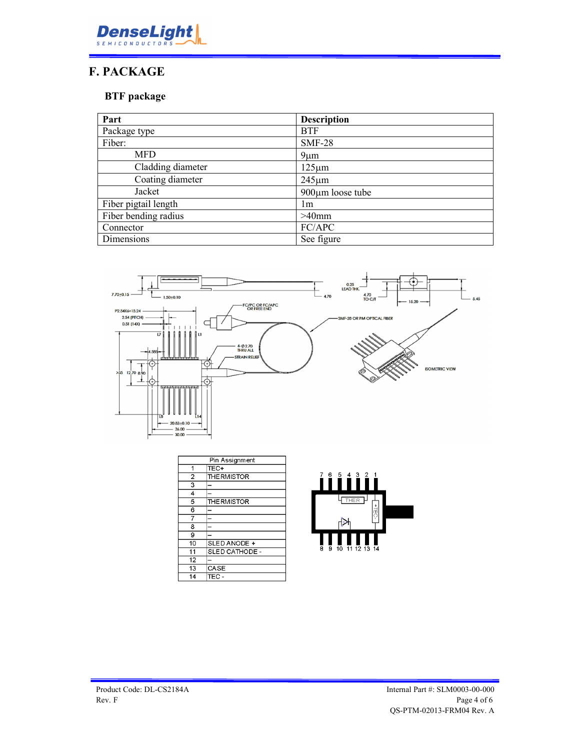

## **F. PACKAGE**

#### **BTF package**

| Part                 | <b>Description</b>     |
|----------------------|------------------------|
| Package type         | <b>BTF</b>             |
| Fiber:               | <b>SMF-28</b>          |
| <b>MFD</b>           | $9 \mu m$              |
| Cladding diameter    | $125 \mu m$            |
| Coating diameter     | $245 \mu m$            |
| Jacket               | $900 \mu m$ loose tube |
| Fiber pigtail length | lm.                    |
| Fiber bending radius | $>40$ mm               |
| Connector            | FC/APC                 |
| Dimensions           | See figure             |



| Pin Assignment |                    |  |
|----------------|--------------------|--|
| 1              | TEC+               |  |
| $\overline{a}$ | <b>THE RMISTOR</b> |  |
| 3              |                    |  |
| 4              |                    |  |
| 5              | <b>THE RMISTOR</b> |  |
| 6              |                    |  |
|                |                    |  |
| 8              |                    |  |
| 9              |                    |  |
| 10             | SLED ANODE +       |  |
| 11             | SLED CATHODE -     |  |
| 12             |                    |  |
| 13             | CASE               |  |
| 14             | TEC -              |  |

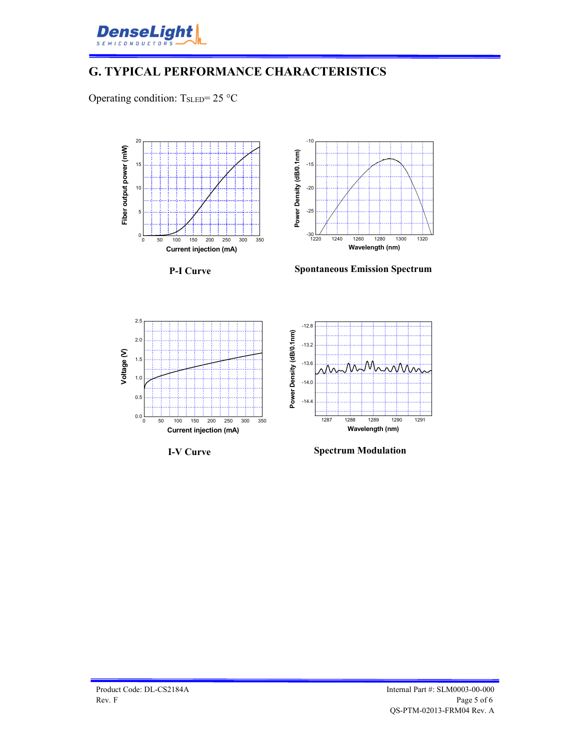

# **G. TYPICAL PERFORMANCE CHARACTERISTICS**

Operating condition:  $T_{\text{SLED}} = 25 \text{ °C}$ 





**P-I Curve**

**Spontaneous Emission Spectrum**



**I-V Curve**



**Spectrum Modulation**